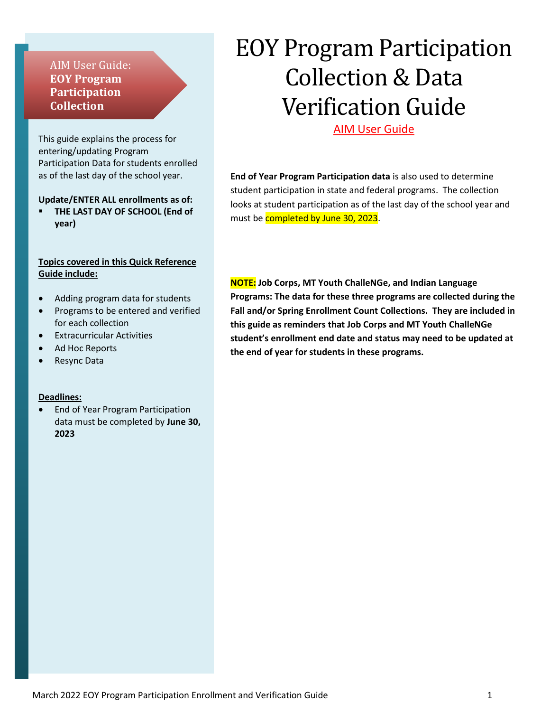# AIM User Guide: **EOY Program Participation Collection**

This guide explains the process for entering/updating Program Participation Data for students enrolled as of the last day of the school year.

#### **Update/ENTER ALL enrollments as of:**

**THE LAST DAY OF SCHOOL (End of year)**

#### **Topics covered in this Quick Reference Guide include:**

- Adding program data for students
- Programs to be entered and verified for each collection
- Extracurricular Activities
- Ad Hoc Reports
- Resync Data

#### **Deadlines:**

• End of Year Program Participation data must be completed by **June 30, 2023**

# EOY Program Participation Collection & Data Verification Guide

### AIM User Guide

**End of Year Program Participation data** is also used to determine student participation in state and federal programs. The collection looks at student participation as of the last day of the school year and must be completed by June 30, 2023.

**NOTE: Job Corps, MT Youth ChalleNGe, and Indian Language Programs: The data for these three programs are collected during the Fall and/or Spring Enrollment Count Collections. They are included in this guide as reminders that Job Corps and MT Youth ChalleNGe student's enrollment end date and status may need to be updated at the end of year for students in these programs.**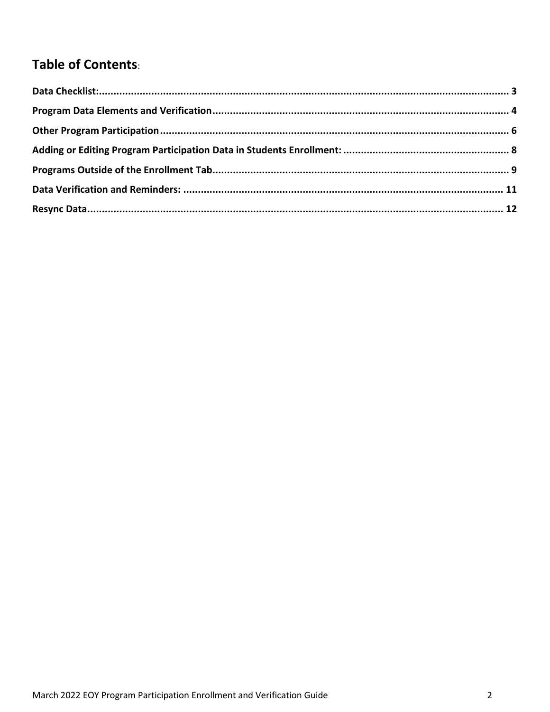# Table of Contents: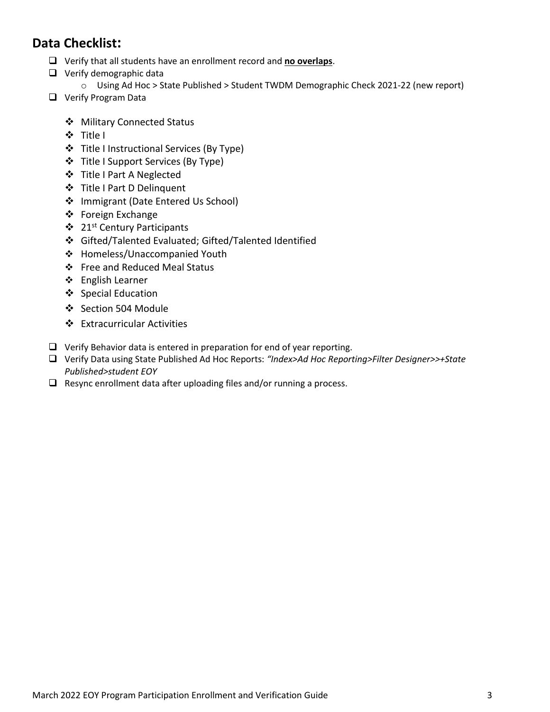# <span id="page-2-0"></span>**Data Checklist:**

- ❑ Verify that all students have an enrollment record and **no overlaps**.
- ❑ Verify demographic data
	- o Using Ad Hoc > State Published > Student TWDM Demographic Check 2021-22 (new report)
- ❑ Verify Program Data
	- ❖ Military Connected Status
	- ❖ Title I
	- ❖ Title I Instructional Services (By Type)
	- ❖ Title I Support Services (By Type)
	- ❖ Title I Part A Neglected
	- ❖ Title I Part D Delinquent
	- ❖ Immigrant (Date Entered Us School)
	- ❖ Foreign Exchange
	- ❖ 21st Century Participants
	- ❖ Gifted/Talented Evaluated; Gifted/Talented Identified
	- ❖ Homeless/Unaccompanied Youth
	- ❖ Free and Reduced Meal Status
	- ❖ English Learner
	- ❖ [Special Education](#page-10-1)
	- ❖ Section 504 Module
	- ❖ Extracurricular Activities
- ❑ Verify Behavior data is entered in preparation for end of year reporting.
- ❑ Verify Data using State Published Ad Hoc Reports: *"Index>Ad Hoc Reporting>Filter Designer>>+State Published>student EOY*
- ❑ Resync enrollment data after uploading files and/or running a process.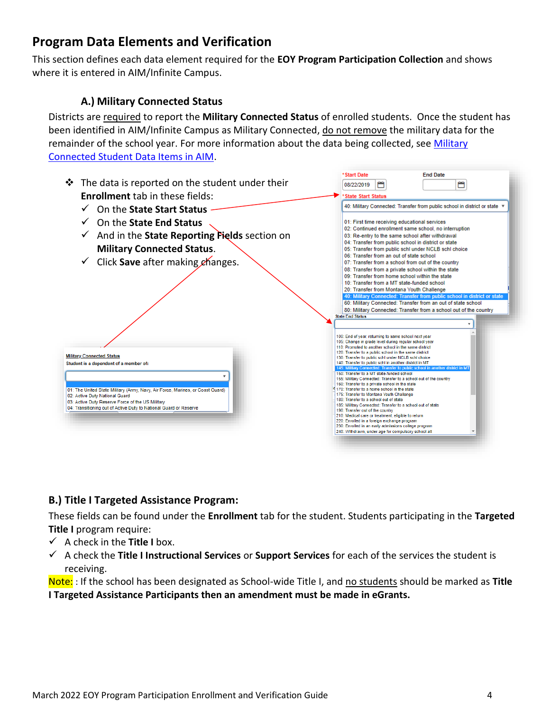# <span id="page-3-0"></span>**Program Data Elements and Verification**

This section defines each data element required for the **EOY Program Participation Collection** and shows where it is entered in AIM/Infinite Campus.

# **A.) Military Connected Status**

Districts are required to report the **Military Connected Status** of enrolled students. Once the student has been identified in AIM/Infinite Campus as Military Connected, do not remove the military data for the remainder of the school year. For more information about the data being collected, see Military [Connected Student Data Items in AIM.](http://opi.mt.gov/Portals/182/Page%20Files/AIM/2%20AIM%20USER%20GUIDES/Program%20Participation/MilitaryConnectedStudentData.pdf)



# **B.) Title I Targeted Assistance Program:**

These fields can be found under the **Enrollment** tab for the student. Students participating in the **Targeted Title I** program require:

- ✓ A check in the **Title I** box.
- ✓ A check the **Title I Instructional Services** or **Support Services** for each of the services the student is receiving.

Note: : If the school has been designated as School-wide Title I, and no students should be marked as **Title I Targeted Assistance Participants then an amendment must be made in eGrants.**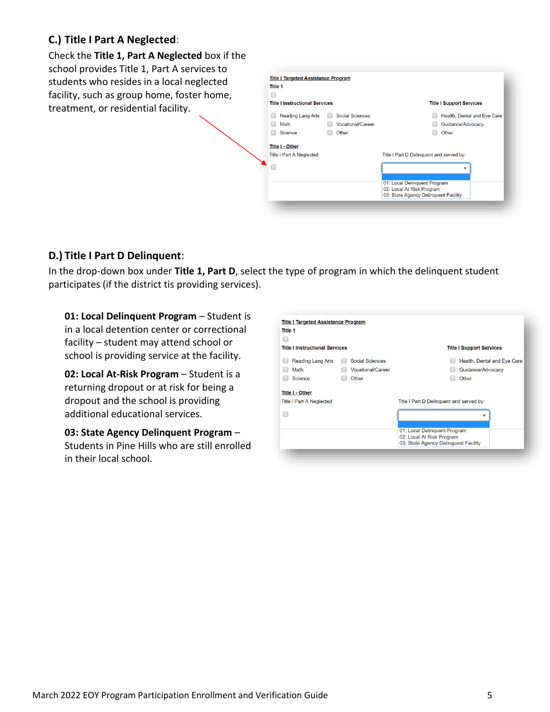# **C.) Title I Part A Neglected**:

Check the **Title 1, Part A Neglected** box if the school provides Title 1, Part A services to students who resides in a local neglected facility, such as group home, foster home, treatment, or residential facility.

| <b>Title I Instructional Services</b> |                          | <b>Title I Support Services</b>                                   |
|---------------------------------------|--------------------------|-------------------------------------------------------------------|
| <b>Reading Lang Arts</b>              | <b>Social Sciences</b>   | Health, Dental and Eye Care                                       |
| Math                                  | <b>Vocational/Career</b> | Guidance/Advocacy                                                 |
| Science                               | Other                    | Other                                                             |
| <b>Title I - Other</b>                |                          |                                                                   |
| <b>Title I Part A Neglected</b>       |                          | Title I Part D Delinquent and served by:                          |
|                                       |                          |                                                                   |
|                                       |                          | 01: Local Delinquent Program                                      |
|                                       |                          | 02: Local At Risk Program<br>03: State Agency Delinquent Facility |

# **D.) Title I Part D Delinquent:**

In the drop-down box under **Title 1, Part D**, select the type of program in which the delinquent student participates (if the district tis providing services).

**01: Local Delinquent Program - Student is** in a local detention center or correctional facility – student may attend school or school is providing service at the facility.

**02: Local At-Risk Program** – Student is a returning dropout or at risk for being a dropout and the school is providing additional educational services.

**03: State Agency Delinquent Program** – Students in Pine Hills who are still enrolled in their local school.

| Title 1                               |                          |                                                           |                                 |
|---------------------------------------|--------------------------|-----------------------------------------------------------|---------------------------------|
| <b>Title I Instructional Services</b> |                          |                                                           | <b>Title I Support Services</b> |
| <b>Reading Lang Arts</b>              | <b>Social Sciences</b>   |                                                           | Health, Dental and Eye Care     |
| Math                                  | <b>Vocational/Career</b> |                                                           | Guidance/Advocacy               |
| Science                               | Other                    |                                                           | Other                           |
| <b>Title I - Other</b>                |                          |                                                           |                                 |
| <b>Title I Part A Neglected</b>       |                          | Title I Part D Delinguent and served by:                  |                                 |
|                                       |                          |                                                           |                                 |
|                                       |                          | 01: Local Delinquent Program<br>02: Local At Risk Program |                                 |
|                                       |                          | 03: State Agency Delinguent Facility                      |                                 |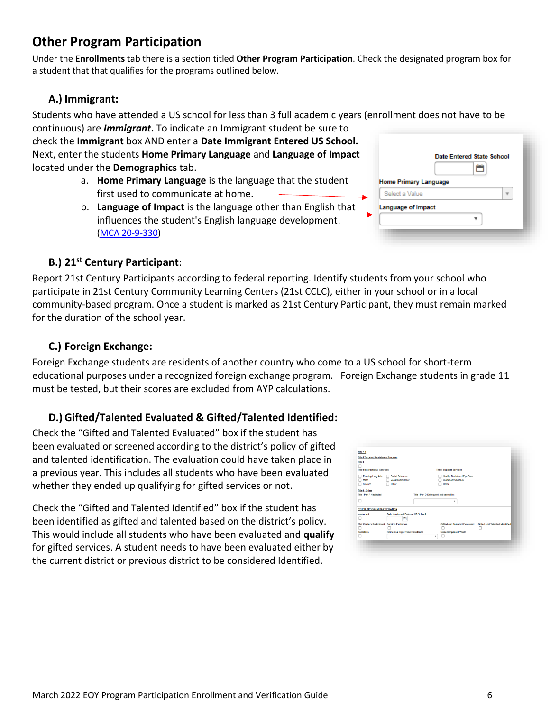# <span id="page-5-0"></span>**Other Program Participation**

Under the **Enrollments** tab there is a section titled **Other Program Participation**. Check the designated program box for a student that that qualifies for the programs outlined below.

# **A.) Immigrant:**

Students who have attended a US school for less than 3 full academic years (enrollment does not have to be continuous) are *Immigrant***.** To indicate an Immigrant student be sure to

check the **Immigrant** box AND enter a **Date Immigrant Entered US School.**  Next, enter the students **Home Primary Language** and **Language of Impact** located under the **Demographics** tab.

- a. **Home Primary Language** is the language that the student first used to communicate at home.
- b. **Language of Impact** is the language other than English that influences the student's English language development. [\(MCA 20-9-330\)](https://leg.mt.gov/bills/mca/title_0200/chapter_0090/part_0030/section_0300/0200-0090-0030-0300.html)

|                              | Date Entered State School |
|------------------------------|---------------------------|
|                              |                           |
| <b>Home Primary Language</b> |                           |
| Select a Value               |                           |
| Language of Impact           |                           |
|                              |                           |

# **B.) 21st Century Participant**:

Report 21st Century Participants according to federal reporting. Identify students from your school who participate in 21st Century Community Learning Centers (21st CCLC), either in your school or in a local community-based program. Once a student is marked as 21st Century Participant, they must remain marked for the duration of the school year.

# **C.) Foreign Exchange:**

Foreign Exchange students are residents of another country who come to a US school for short-term educational purposes under a recognized foreign exchange program. Foreign Exchange students in grade 11 must be tested, but their scores are excluded from AYP calculations.

# **D.) Gifted/Talented Evaluated & Gifted/Talented Identified:**

Check the "Gifted and Talented Evaluated" box if the student has been evaluated or screened according to the district's policy of gifted and talented identification. The evaluation could have taken place in a previous year. This includes all students who have been evaluated whether they ended up qualifying for gifted services or not.

Check the "Gifted and Talented Identified" box if the student has been identified as gifted and talented based on the district's policy. This would include all students who have been evaluated and **qualify** for gifted services. A student needs to have been evaluated either by the current district or previous district to be considered Identified.

| <b>TITLE 1</b><br><b>Title I Targeted Assistance Program</b><br>Title I<br><b>Title I Instructional Services</b><br><b>Title I Support Services</b><br>Reading Lang Arts<br>Social Sciences<br>Health, Dental and Eye Care<br>Guidance/Advocacy<br>Vocational/Career<br>Math<br>Other<br>Science<br>Other<br>Title I - Other<br><b>Title I Part A Neglected</b><br>Title I Part D Delinquent and served by: |  |
|-------------------------------------------------------------------------------------------------------------------------------------------------------------------------------------------------------------------------------------------------------------------------------------------------------------------------------------------------------------------------------------------------------------|--|
|                                                                                                                                                                                                                                                                                                                                                                                                             |  |
|                                                                                                                                                                                                                                                                                                                                                                                                             |  |
|                                                                                                                                                                                                                                                                                                                                                                                                             |  |
|                                                                                                                                                                                                                                                                                                                                                                                                             |  |
|                                                                                                                                                                                                                                                                                                                                                                                                             |  |
|                                                                                                                                                                                                                                                                                                                                                                                                             |  |
|                                                                                                                                                                                                                                                                                                                                                                                                             |  |
|                                                                                                                                                                                                                                                                                                                                                                                                             |  |
|                                                                                                                                                                                                                                                                                                                                                                                                             |  |
|                                                                                                                                                                                                                                                                                                                                                                                                             |  |
|                                                                                                                                                                                                                                                                                                                                                                                                             |  |
| ٠                                                                                                                                                                                                                                                                                                                                                                                                           |  |
| <b>OTHER PROGRAM PARTICIPATION</b>                                                                                                                                                                                                                                                                                                                                                                          |  |
| Date Immigrant Entered US School<br>Immigrant                                                                                                                                                                                                                                                                                                                                                               |  |
| ₩<br>n                                                                                                                                                                                                                                                                                                                                                                                                      |  |
| 21st Century Participant Foreign Exchange<br><b>Gifted and Talented Evaluated</b><br>Gifted and Talented Identified                                                                                                                                                                                                                                                                                         |  |
|                                                                                                                                                                                                                                                                                                                                                                                                             |  |
| <b>Homeless Night Time Residence</b><br><b>Homeless</b><br><b>Unaccompanied Youth</b>                                                                                                                                                                                                                                                                                                                       |  |
| ٠                                                                                                                                                                                                                                                                                                                                                                                                           |  |
|                                                                                                                                                                                                                                                                                                                                                                                                             |  |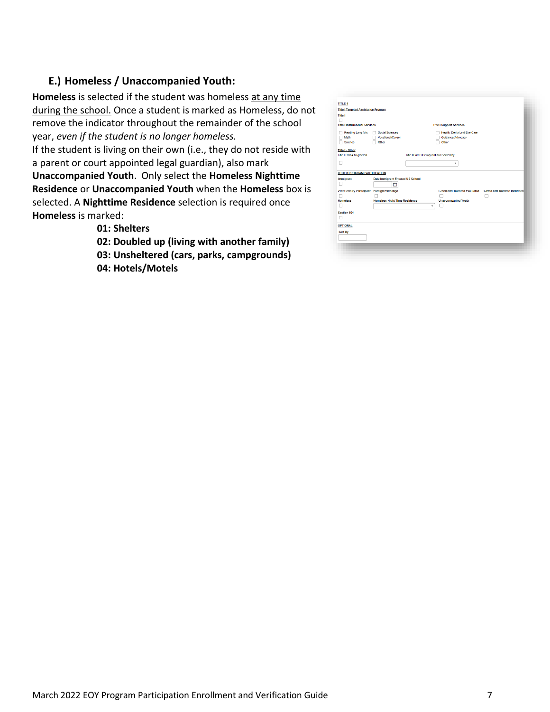### **E.) Homeless / Unaccompanied Youth:**

**Homeless** is selected if the student was homeless at any time during the school. Once a student is marked as Homeless, do not remove the indicator throughout the remainder of the school year, *even if the student is no longer homeless.* If the student is living on their own (i.e., they do not reside with a parent or court appointed legal guardian), also mark **Unaccompanied Youth**. Only select the **Homeless Nighttime Residence** or **Unaccompanied Youth** when the **Homeless** box is selected. A **Nighttime Residence** selection is required once **Homeless** is marked:

**01: Shelters**

- **02: Doubled up (living with another family)**
- **03: Unsheltered (cars, parks, campgrounds)**
- **04: Hotels/Motels**

| <b>TITLE 1</b>                             |                                         |                                          |                                      |                                       |
|--------------------------------------------|-----------------------------------------|------------------------------------------|--------------------------------------|---------------------------------------|
| <b>Title I Targeted Assistance Program</b> |                                         |                                          |                                      |                                       |
| <b>Title I</b>                             |                                         |                                          |                                      |                                       |
| □                                          |                                         |                                          |                                      |                                       |
| <b>Title I Instructional Services</b>      |                                         |                                          | <b>Title I Support Services</b>      |                                       |
| Reading Lang Arts                          | <b>Social Sciences</b>                  |                                          | Health, Dental and Eye Care          |                                       |
| Math                                       | Vocational/Career                       |                                          | Guidance/Advocacy                    |                                       |
| Science                                    | Other                                   |                                          | Other                                |                                       |
| <b>Title I - Other</b>                     |                                         |                                          |                                      |                                       |
| <b>Title I Part A Neglected</b>            |                                         | Title I Part D Delinquent and served by: |                                      |                                       |
|                                            |                                         |                                          |                                      |                                       |
| n                                          |                                         |                                          | ۰                                    |                                       |
|                                            |                                         |                                          |                                      |                                       |
| <b>OTHER PROGRAM PARTICIPATION</b>         |                                         |                                          |                                      |                                       |
| Immigrant                                  | <b>Date Immigrant Entered US School</b> |                                          |                                      |                                       |
| п                                          | õ                                       |                                          |                                      |                                       |
| 21st Century Participant Foreign Exchange  |                                         |                                          | <b>Gifted and Talented Evaluated</b> | <b>Gifted and Talented Identified</b> |
|                                            |                                         |                                          |                                      |                                       |
| <b>Homeless</b>                            | <b>Homeless Night Time Residence</b>    |                                          | <b>Unaccompanied Youth</b>           |                                       |
|                                            |                                         | ۷                                        | п                                    |                                       |
| Section 504                                |                                         |                                          |                                      |                                       |
| ш                                          |                                         |                                          |                                      |                                       |
| <b>OPTIONAL</b>                            |                                         |                                          |                                      |                                       |
| Sort By                                    |                                         |                                          |                                      |                                       |
|                                            |                                         |                                          |                                      |                                       |
|                                            |                                         |                                          |                                      |                                       |
|                                            |                                         |                                          |                                      |                                       |
|                                            |                                         |                                          |                                      |                                       |
|                                            |                                         |                                          |                                      |                                       |
|                                            |                                         |                                          |                                      |                                       |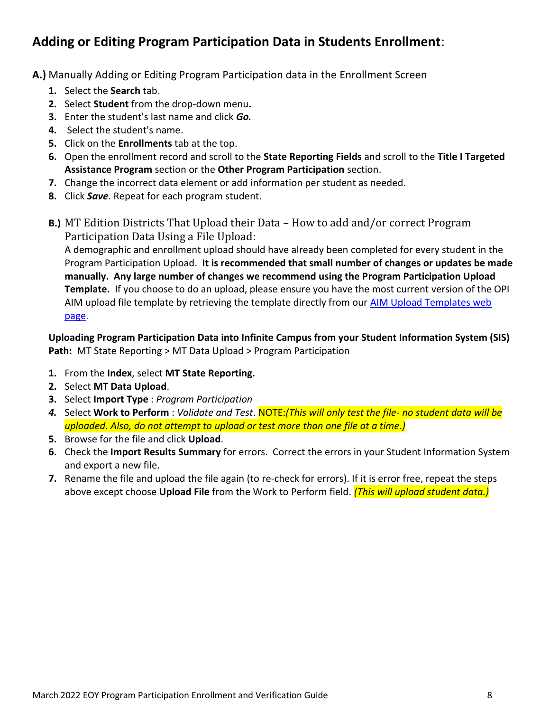# <span id="page-7-0"></span>**Adding or Editing Program Participation Data in Students Enrollment**:

**A.)** Manually Adding or Editing Program Participation data in the Enrollment Screen

- **1.** Select the **Search** tab.
- **2.** Select **Student** from the drop-down menu**.**
- **3.** Enter the student's last name and click *Go.*
- **4.** Select the student's name.
- **5.** Click on the **Enrollments** tab at the top.
- **6.** Open the enrollment record and scroll to the **State Reporting Fields** and scroll to the **Title I Targeted Assistance Program** section or the **Other Program Participation** section.
- **7.** Change the incorrect data element or add information per student as needed.
- **8.** Click *Save*. Repeat for each program student.
- **B.)** MT Edition Districts That Upload their Data How to add and/or correct Program Participation Data Using a File Upload:

A demographic and enrollment upload should have already been completed for every student in the Program Participation Upload. **It is recommended that small number of changes or updates be made manually. Any large number of changes we recommend using the Program Participation Upload Template.** If you choose to do an upload, please ensure you have the most current version of the OPI AIM upload file template by retrieving the template directly from our [AIM Upload Templates web](https://opi.mt.gov/Leadership/Data-Reporting/AIM-Achievement-in-Montana/AIM-Upload-Templates)  [page.](https://opi.mt.gov/Leadership/Data-Reporting/AIM-Achievement-in-Montana/AIM-Upload-Templates)

**Uploading Program Participation Data into Infinite Campus from your Student Information System (SIS) Path:** MT State Reporting > MT Data Upload > Program Participation

- **1.** From the **Index**, select **MT State Reporting.**
- **2.** Select **MT Data Upload**.
- **3.** Select **Import Type** : *Program Participation*
- *4.* Select **Work to Perform** : *Validate and Test*. NOTE:*(This will only test the file- no student data will be uploaded. Also, do not attempt to upload or test more than one file at a time.)*
- **5.** Browse for the file and click **Upload**.
- **6.** Check the **Import Results Summary** for errors. Correct the errors in your Student Information System and export a new file.
- **7.** Rename the file and upload the file again (to re-check for errors). If it is error free, repeat the steps above except choose **Upload File** from the Work to Perform field. *(This will upload student data.)*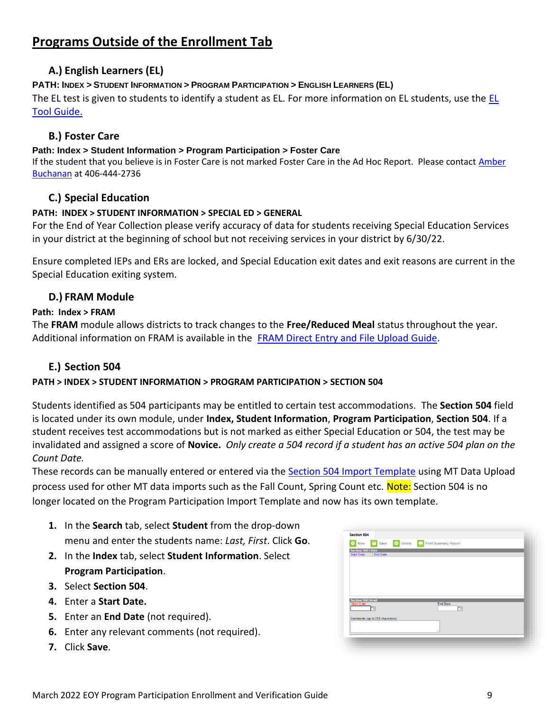# <span id="page-8-0"></span>**Programs Outside of the Enrollment Tab**

# **A.) English Learners (EL)**

### **PATH: INDEX** *>* **STUDENT INFORMATION > PROGRAM PARTICIPATION > ENGLISH LEARNERS (EL)**

The [EL](http://opi.mt.gov/Portals/182/Page%20Files/AIM/2%20AIM%20USER%20GUIDES/Program%20Participation/EL%20Tool%20Guide.pdf?ver=2017-09-01-164453-397) test is given to students to identify a student as EL. For more information on EL students, use the  $EL$ [Tool Guide.](http://opi.mt.gov/Portals/182/Page%20Files/AIM/2%20AIM%20USER%20GUIDES/Program%20Participation/EL%20Tool%20Guide.pdf?ver=2017-09-01-164453-397)

### **B.) Foster Care**

#### **Path: Index > Student Information > Program Participation > Foster Care**

If the student that you believe is in Foster Care is not marked Foster Care in the Ad Hoc Report. Please contact Amber [Buchanan](mailto:abuchanan2@mt.gov) at 406-444-2736

# **C.) Special Education**

#### **PATH: INDEX > STUDENT INFORMATION > SPECIAL ED > GENERAL**

For the End of Year Collection please verify accuracy of data for students receiving Special Education Services in your district at the beginning of school but not receiving services in your district by 6/30/22.

Ensure completed IEPs and ERs are locked, and Special Education exit dates and exit reasons are current in the Special Education exiting system.

### **D.) FRAM Module**

#### **Path: Index > FRAM**

The **FRAM** module allows districts to track changes to the **Free/Reduced Meal** status throughout the year. Additional information on FRAM is available in the [FRAM Direct Entry and File Upload](http://opi.mt.gov/Portals/182/Page%20Files/AIM/2%20AIM%20USER%20GUIDES/Program%20Participation/FRAM%20Direct%20Entry%20File%20Upload.pdf) Guide.

# **E.) Section 504**

### **PATH > INDEX > STUDENT INFORMATION > PROGRAM PARTICIPATION > SECTION 504**

Students identified as 504 participants may be entitled to certain test accommodations. The **Section 504** field is located under its own module, under **Index, Student Information**, **Program Participation**, **Section 504**. If a student receives test accommodations but is not marked as either Special Education or 504, the test may be invalidated and assigned a score of **Novice.** *Only create a 504 record if a student has an active 504 plan on the Count Date.*

These records can be manually entered or entered via the [Section 504 Import Template](https://opi.mt.gov/Portals/182/Page%20Files/AIM/3%20AIM%20UPLOAD%20TEMPLATES/Section%20504%20Import%20Template.xlsx?ver=2021-11-29-093652-483) using MT Data Upload process used for other MT data imports such as the Fall Count, Spring Count etc. Note: Section 504 is no longer located on the Program Participation Import Template and now has its own template.

- **1.** In the **Search** tab, select **Student** from the drop-down menu and enter the students name: *Last, First*. Click **Go**.
- **2.** In the **Index** tab, select **Student Information**. Select **Program Participation**.
- **3.** Select **Section 504**.
- **4.** Enter a **Start Date.**
- **5.** Enter an **End Date** (not required).
- **6.** Enter any relevant comments (not required).
- **7.** Click **Save**.

| Save 8 Delete<br>New<br>o            | Print Summary Report                        |  |
|--------------------------------------|---------------------------------------------|--|
| <b>Section 504 Editor</b>            |                                             |  |
| <b>End Date</b><br><b>Start Date</b> |                                             |  |
|                                      |                                             |  |
|                                      |                                             |  |
|                                      |                                             |  |
|                                      |                                             |  |
|                                      |                                             |  |
| <b>Section 504 Detail</b>            |                                             |  |
| *Start Date                          | <b>End Date</b><br>$\overline{\phantom{a}}$ |  |
| To:                                  |                                             |  |
| Comments (up to 255 characters)      |                                             |  |
|                                      |                                             |  |
|                                      |                                             |  |
|                                      |                                             |  |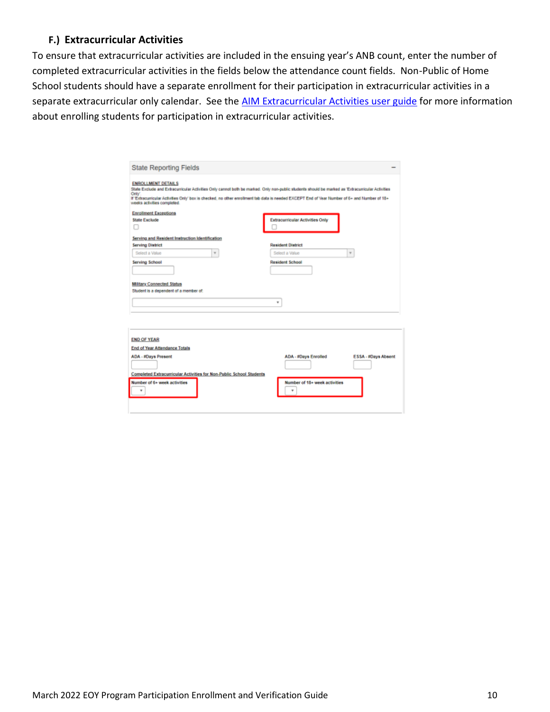### **F.) Extracurricular Activities**

To ensure that extracurricular activities are included in the ensuing year's ANB count, enter the number of completed extracurricular activities in the fields below the attendance count fields. Non-Public of Home School students should have a separate enrollment for their participation in extracurricular activities in a separate extracurricular only calendar. See the [AIM Extracurricular Activities user guide](https://opi.mt.gov/Portals/182/Page%20Files/AIM/2%20AIM%20USER%20GUIDES/EOY%20Attendance%20Totals/Extracurricular%20Activities.pdf?ver=2021-08-12-103120-643) for more information about enrolling students for participation in extracurricular activities.

| <b>State Reporting Fields</b>                                                                                                                                                                                                                                                                                                                                           |                                                    |
|-------------------------------------------------------------------------------------------------------------------------------------------------------------------------------------------------------------------------------------------------------------------------------------------------------------------------------------------------------------------------|----------------------------------------------------|
| <b>ENROLLMENT DETAILS</b><br>State Exclude and Extracurricular Activities Only cannot both be marked. Only non-public students should be marked as 'Extracurricular Activities<br>Only".<br>If 'Edracurricular Activities Only' box is checked, no other enrollment tab data is needed EXCEPT End of Vear Number of 6+ and Number of 18+<br>weeks activities completed. |                                                    |
| <b>Enrollment Exceptions</b>                                                                                                                                                                                                                                                                                                                                            |                                                    |
| <b>State Exclude</b>                                                                                                                                                                                                                                                                                                                                                    | <b>Extracurricular Activities Only</b>             |
|                                                                                                                                                                                                                                                                                                                                                                         |                                                    |
| Serving and Resident Instruction Identification                                                                                                                                                                                                                                                                                                                         |                                                    |
| <b>Serving District</b>                                                                                                                                                                                                                                                                                                                                                 | <b>Resident District</b>                           |
| Select a Value<br>$\pi$                                                                                                                                                                                                                                                                                                                                                 | $\pi$<br>Select a Value                            |
| <b>Serving School</b>                                                                                                                                                                                                                                                                                                                                                   | <b>Resident School</b>                             |
|                                                                                                                                                                                                                                                                                                                                                                         |                                                    |
|                                                                                                                                                                                                                                                                                                                                                                         |                                                    |
| <b>Military Connected Status</b>                                                                                                                                                                                                                                                                                                                                        |                                                    |
| Student is a dependent of a member of:                                                                                                                                                                                                                                                                                                                                  |                                                    |
|                                                                                                                                                                                                                                                                                                                                                                         | ٠                                                  |
|                                                                                                                                                                                                                                                                                                                                                                         |                                                    |
|                                                                                                                                                                                                                                                                                                                                                                         |                                                    |
|                                                                                                                                                                                                                                                                                                                                                                         |                                                    |
|                                                                                                                                                                                                                                                                                                                                                                         |                                                    |
|                                                                                                                                                                                                                                                                                                                                                                         |                                                    |
|                                                                                                                                                                                                                                                                                                                                                                         |                                                    |
|                                                                                                                                                                                                                                                                                                                                                                         |                                                    |
|                                                                                                                                                                                                                                                                                                                                                                         |                                                    |
|                                                                                                                                                                                                                                                                                                                                                                         | <b>ADA - #Days Enrolled</b><br>ESSA - #Days Absent |
|                                                                                                                                                                                                                                                                                                                                                                         |                                                    |
|                                                                                                                                                                                                                                                                                                                                                                         |                                                    |
| <b>END OF YEAR</b><br><b>End of Year Attendance Totals</b><br><b>ADA - #Days Present</b><br><b>Completed Extracurricular Activities for Non-Public School Students</b>                                                                                                                                                                                                  |                                                    |
| Number of 6+ week activities                                                                                                                                                                                                                                                                                                                                            | Number of 18+ week activities                      |
|                                                                                                                                                                                                                                                                                                                                                                         |                                                    |
|                                                                                                                                                                                                                                                                                                                                                                         |                                                    |
|                                                                                                                                                                                                                                                                                                                                                                         |                                                    |
|                                                                                                                                                                                                                                                                                                                                                                         |                                                    |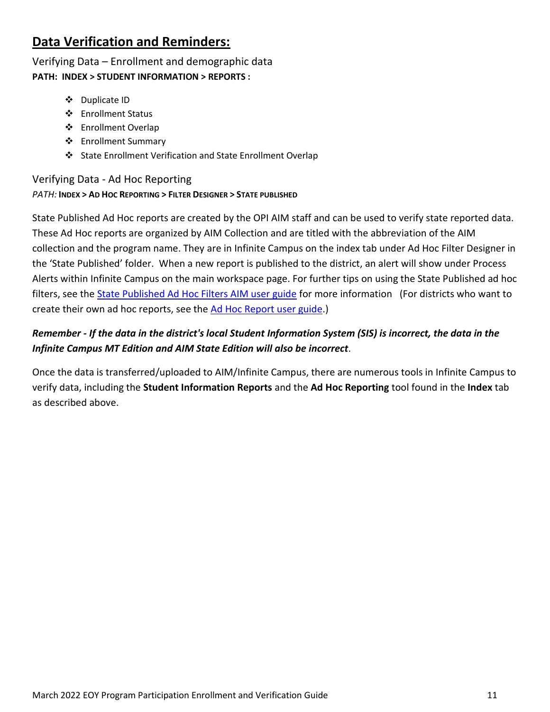# <span id="page-10-0"></span>**Data Verification and Reminders:**

Verifying Data – Enrollment and demographic data **PATH: INDEX > STUDENT INFORMATION > REPORTS :**

- ❖ Duplicate ID
- ❖ Enrollment Status
- ❖ Enrollment Overlap
- ❖ Enrollment Summary
- ❖ State Enrollment Verification and State Enrollment Overlap

# Verifying Data - Ad Hoc Reporting *PATH:* **INDEX > AD HOC REPORTING > FILTER DESIGNER > STATE PUBLISHED**

State Published Ad Hoc reports are created by the OPI AIM staff and can be used to verify state reported data. These Ad Hoc reports are organized by AIM Collection and are titled with the abbreviation of the AIM collection and the program name. They are in Infinite Campus on the index tab under Ad Hoc Filter Designer in the 'State Published' folder. When a new report is published to the district, an alert will show under Process Alerts within Infinite Campus on the main workspace page. For further tips on using the State Published ad hoc filters, see the [State Published Ad Hoc Filters AIM user guide](http://opi.mt.gov/Portals/182/Page%20Files/AIM/2%20AIM%20USER%20GUIDES/User%20Guides%20by%20Topic/Ad%20Hoc%20Reporting/State%20Published%20Ad%20Hoc%20Reports.pdf) for more information (For districts who want to create their own ad hoc reports, see the [Ad Hoc Report user guide.](http://opi.mt.gov/Portals/182/Page%20Files/AIM/2%20AIM%20USER%20GUIDES/User%20Guides%20by%20Topic/Ad%20Hoc%20Reporting/AdHocReporting.pdf))

# *Remember - If the data in the district's local Student Information System (SIS) is incorrect, the data in the Infinite Campus MT Edition and AIM State Edition will also be incorrect*.

<span id="page-10-1"></span>Once the data is transferred/uploaded to AIM/Infinite Campus, there are numerous tools in Infinite Campus to verify data, including the **Student Information Reports** and the **Ad Hoc Reporting** tool found in the **Index** tab as described above.